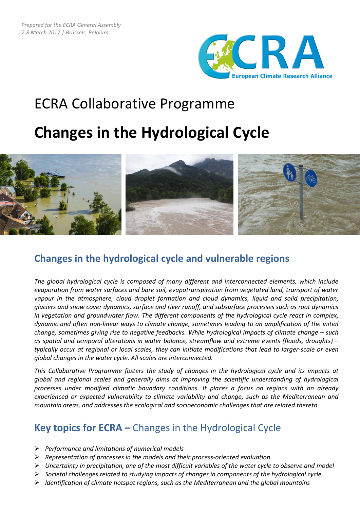

# ECRA Collaborative Programme

# **Changes in the Hydrological Cycle**



## **Changes in the hydrological cycle and vulnerable regions**

*The global hydrological cycle is composed of many different and interconnected elements, which include evaporation from water surfaces and bare soil, evapotranspiration from vegetated land, transport of water vapour in the atmosphere, cloud droplet formation and cloud dynamics, liquid and solid precipitation, glaciers and snow cover dynamics, surface and river runoff, and subsurface processes such as root dynamics in vegetation and groundwater flow. The different components of the hydrological cycle react in complex, dynamic and often non-linear ways to climate change, sometimes leading to an amplification of the initial change, sometimes giving rise to negative feedbacks. While hydrological impacts of climate change – such as spatial and temporal alterations in water balance, streamflow and extreme events (floods, droughts) – typically occur at regional or local scales, they can initiate modifications that lead to larger-scale or even global changes in the water cycle. All scales are interconnected.* 

*This Collaborative Programme fosters the study of changes in the hydrological cycle and its impacts at global and regional scales and generally aims at improving the scientific understanding of hydrological processes under modified climatic boundary conditions. It places a focus on regions with an already experienced or expected vulnerability to climate variability and change, such as the Mediterranean and mountain areas, and addresses the ecological and socioeconomic challenges that are related thereto.* 

## **Key topics for ECRA –** Changes in the Hydrological Cycle

- *Performance and limitations of numerical models*
- *Representation of processes in the models and their process-oriented evaluation*
- *Uncertainty in precipitation, one of the most difficult variables of the water cycle to observe and model*
- *Societal challenges related to studying impacts of changes in components of the hydrological cycle*
- *Identification of climate hotspot regions, such as the Mediterranean and the global mountains*